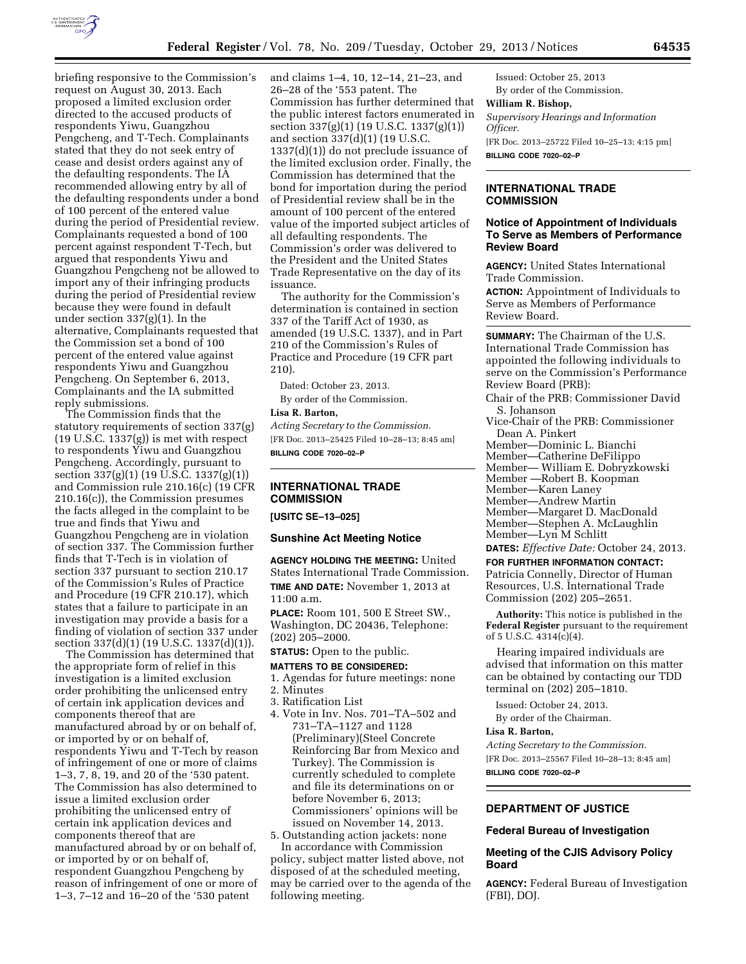

briefing responsive to the Commission's request on August 30, 2013. Each proposed a limited exclusion order directed to the accused products of respondents Yiwu, Guangzhou Pengcheng, and T-Tech. Complainants stated that they do not seek entry of cease and desist orders against any of the defaulting respondents. The IA recommended allowing entry by all of the defaulting respondents under a bond of 100 percent of the entered value during the period of Presidential review. Complainants requested a bond of 100 percent against respondent T-Tech, but argued that respondents Yiwu and Guangzhou Pengcheng not be allowed to import any of their infringing products during the period of Presidential review because they were found in default under section 337(g)(1). In the alternative, Complainants requested that the Commission set a bond of 100 percent of the entered value against respondents Yiwu and Guangzhou Pengcheng. On September 6, 2013, Complainants and the IA submitted reply submissions.

The Commission finds that the statutory requirements of section 337(g)  $(19 \text{ U.S.C. } 1337(g))$  is met with respect to respondents Yiwu and Guangzhou Pengcheng. Accordingly, pursuant to section 337(g)(1) (19 U.S.C. 1337(g)(1)) and Commission rule 210.16(c) (19 CFR 210.16(c)), the Commission presumes the facts alleged in the complaint to be true and finds that Yiwu and Guangzhou Pengcheng are in violation of section 337. The Commission further finds that T-Tech is in violation of section 337 pursuant to section 210.17 of the Commission's Rules of Practice and Procedure (19 CFR 210.17), which states that a failure to participate in an investigation may provide a basis for a finding of violation of section 337 under section 337(d)(1) (19 U.S.C. 1337(d)(1)).

The Commission has determined that the appropriate form of relief in this investigation is a limited exclusion order prohibiting the unlicensed entry of certain ink application devices and components thereof that are manufactured abroad by or on behalf of, or imported by or on behalf of, respondents Yiwu and T-Tech by reason of infringement of one or more of claims 1–3, 7, 8, 19, and 20 of the '530 patent. The Commission has also determined to issue a limited exclusion order prohibiting the unlicensed entry of certain ink application devices and components thereof that are manufactured abroad by or on behalf of, or imported by or on behalf of, respondent Guangzhou Pengcheng by reason of infringement of one or more of 1–3, 7–12 and 16–20 of the '530 patent

and claims 1–4, 10, 12–14, 21–23, and 26–28 of the '553 patent. The Commission has further determined that the public interest factors enumerated in section 337(g)(1) (19 U.S.C. 1337(g)(1)) and section 337(d)(1) (19 U.S.C. 1337(d)(1)) do not preclude issuance of the limited exclusion order. Finally, the Commission has determined that the bond for importation during the period of Presidential review shall be in the amount of 100 percent of the entered value of the imported subject articles of all defaulting respondents. The Commission's order was delivered to the President and the United States Trade Representative on the day of its issuance.

The authority for the Commission's determination is contained in section 337 of the Tariff Act of 1930, as amended (19 U.S.C. 1337), and in Part 210 of the Commission's Rules of Practice and Procedure (19 CFR part 210).

Dated: October 23, 2013. By order of the Commission.

### **Lisa R. Barton,**

*Acting Secretary to the Commission.*  [FR Doc. 2013–25425 Filed 10–28–13; 8:45 am] **BILLING CODE 7020–02–P** 

### **INTERNATIONAL TRADE COMMISSION**

**[USITC SE–13–025]** 

#### **Sunshine Act Meeting Notice**

**AGENCY HOLDING THE MEETING:** United States International Trade Commission. **TIME AND DATE:** November 1, 2013 at 11:00 a.m.

**PLACE:** Room 101, 500 E Street SW., Washington, DC 20436, Telephone: (202) 205–2000.

# **STATUS:** Open to the public.

# **MATTERS TO BE CONSIDERED:**

- 1. Agendas for future meetings: none
- 2. Minutes
- 3. Ratification List
- 4. Vote in Inv. Nos. 701–TA–502 and 731–TA–1127 and 1128 (Preliminary)(Steel Concrete Reinforcing Bar from Mexico and Turkey). The Commission is currently scheduled to complete and file its determinations on or before November 6, 2013; Commissioners' opinions will be issued on November 14, 2013.

5. Outstanding action jackets: none In accordance with Commission policy, subject matter listed above, not

disposed of at the scheduled meeting, may be carried over to the agenda of the following meeting.

Issued: October 25, 2013 By order of the Commission. **William R. Bishop,**  *Supervisory Hearings and Information Officer.*  [FR Doc. 2013–25722 Filed 10–25–13; 4:15 pm]

**BILLING CODE 7020–02–P** 

### **INTERNATIONAL TRADE COMMISSION**

## **Notice of Appointment of Individuals To Serve as Members of Performance Review Board**

**AGENCY:** United States International Trade Commission. **ACTION:** Appointment of Individuals to Serve as Members of Performance Review Board.

**SUMMARY:** The Chairman of the U.S. International Trade Commission has appointed the following individuals to serve on the Commission's Performance Review Board (PRB):

Chair of the PRB: Commissioner David S. Johanson

- Vice-Chair of the PRB: Commissioner Dean A. Pinkert
- Member—Dominic L. Bianchi
- Member—Catherine DeFilippo
- Member— William E. Dobryzkowski Member —Robert B. Koopman
- Member—Karen Laney
- Member—Andrew Martin
- Member—Margaret D. MacDonald
- Member—Stephen A. McLaughlin
- Member—Lyn M Schlitt

**DATES:** *Effective Date:* October 24, 2013.

**FOR FURTHER INFORMATION CONTACT:**  Patricia Connelly, Director of Human Resources, U.S. International Trade Commission (202) 205–2651.

**Authority:** This notice is published in the **Federal Register** pursuant to the requirement of 5 U.S.C. 4314(c)(4).

Hearing impaired individuals are advised that information on this matter can be obtained by contacting our TDD terminal on (202) 205–1810.

Issued: October 24, 2013.

By order of the Chairman.

#### **Lisa R. Barton,**

*Acting Secretary to the Commission.*  [FR Doc. 2013–25567 Filed 10–28–13; 8:45 am] **BILLING CODE 7020–02–P** 

# **DEPARTMENT OF JUSTICE**

#### **Federal Bureau of Investigation**

# **Meeting of the CJIS Advisory Policy Board**

**AGENCY:** Federal Bureau of Investigation (FBI), DOJ.